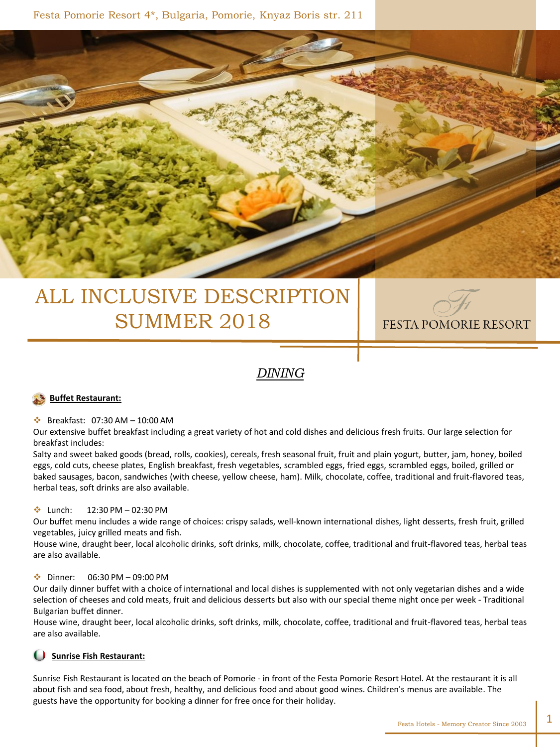

# ALL INCLUSIVE DESCRIPTION SUMMER 2018



## *DINING*

#### **Buffet Restaurant:**

#### Breakfast: 07:30 AM – 10:00 AM

Our extensive buffet breakfast including a great variety of hot and cold dishes and delicious fresh fruits. Our large selection for breakfast includes:

Salty and sweet baked goods (bread, rolls, cookies), cereals, fresh seasonal fruit, fruit and plain yogurt, butter, jam, honey, boiled eggs, cold cuts, cheese plates, English breakfast, fresh vegetables, scrambled eggs, fried eggs, scrambled eggs, boiled, grilled or baked sausages, bacon, sandwiches (with cheese, yellow cheese, ham). Milk, chocolate, coffee, traditional and fruit-flavored teas, herbal teas, soft drinks are also available.

#### $\cdot$  Lunch: 12:30 PM – 02:30 PM

Our buffet menu includes a wide range of choices: crispy salads, well-known international dishes, light desserts, fresh fruit, grilled vegetables, juicy grilled meats and fish.

House wine, draught beer, local alcoholic drinks, soft drinks, milk, chocolate, coffee, traditional and fruit-flavored teas, herbal teas are also available.

#### $\div$  Dinner: 06:30 PM – 09:00 PM

Our daily dinner buffet with a choice of international and local dishes is supplemented with not only vegetarian dishes and a wide selection of cheeses and cold meats, fruit and delicious desserts but also with our special theme night once per week - Traditional Bulgarian buffet dinner.

House wine, draught beer, local alcoholic drinks, soft drinks, milk, chocolate, coffee, traditional and fruit-flavored teas, herbal teas are also available.

### **Sunrise Fish Restaurant:**

Sunrise Fish Restaurant is located on the beach of Pomorie - in front of the Festa Pomorie Resort Hotel. At the restaurant it is all about fish and sea food, about fresh, healthy, and delicious food and about good wines. Children's menus are available. The guests have the opportunity for booking a dinner for free once for their holiday.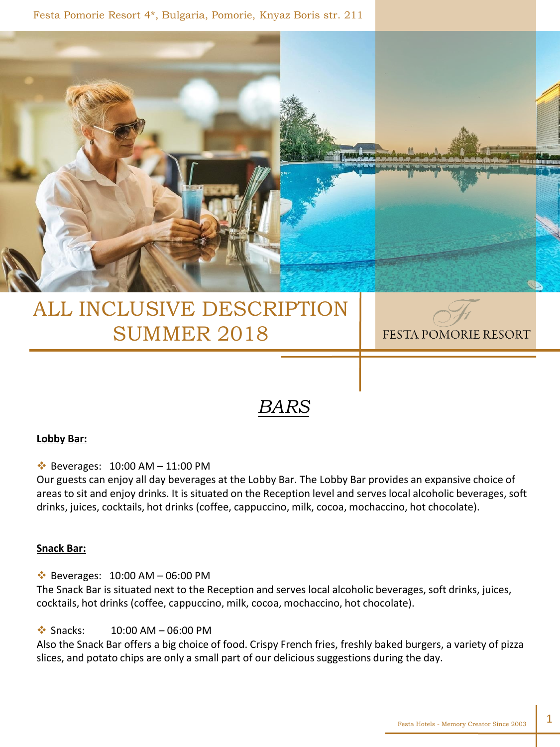Festa Pomorie Resort 4\*, Bulgaria, Pomorie, Knyaz Boris str. 211



# ALL INCLUSIVE DESCRIPTION SUMMER 2018

FESTA POMORIE RESORT

# *BARS*

### **Lobby Bar:**

 $\cdot$  Beverages: 10:00 AM - 11:00 PM

Our guests can enjoy all day beverages at the Lobby Bar. The Lobby Bar provides an expansive choice of areas to sit and enjoy drinks. It is situated on the Reception level and serves local alcoholic beverages, soft drinks, juices, cocktails, hot drinks (coffee, cappuccino, milk, cocoa, mochaccino, hot chocolate).

### **Snack Bar:**

 $\cdot$  Beverages: 10:00 AM - 06:00 PM

The Snack Bar is situated next to the Reception and serves local alcoholic beverages, soft drinks, juices, cocktails, hot drinks (coffee, cappuccino, milk, cocoa, mochaccino, hot chocolate).

 $\div$  Snacks: 10:00 AM – 06:00 PM

Also the Snack Bar offers a big choice of food. Crispy French fries, freshly baked burgers, a variety of pizza slices, and potato chips are only a small part of our delicious suggestions during the day.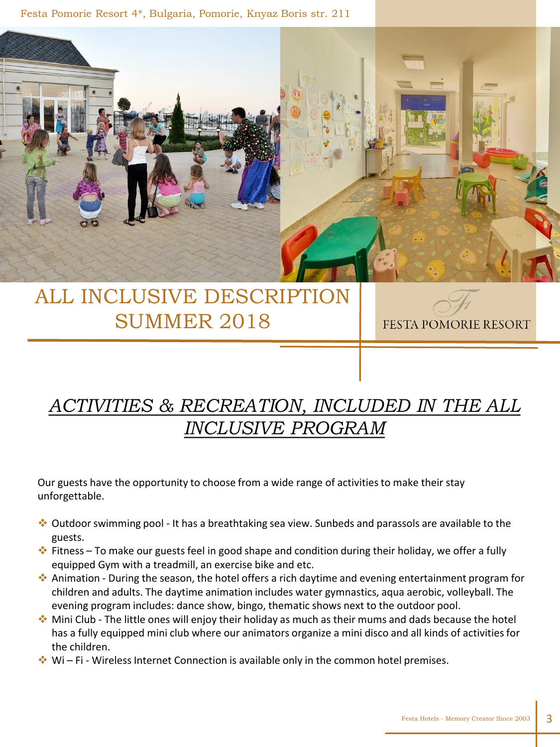Festa Pomorie Resort 4\*, Bulgaria, Pomorie, Knyaz Boris str. 211



# ALL INCLUSIVE DESCRIPTION SUMMER 2018

FESTA POMORIE RESORT

# *ACTIVITIES & RECREATION, INCLUDED IN THE ALL INCLUSIVE PROGRAM*

Our guests have the opportunity to choose from a wide range of activities to make their stay unforgettable.

- $\clubsuit$  Outdoor swimming pool It has a breathtaking sea view. Sunbeds and parassols are available to the guests.
- Fitness To make our guests feel in good shape and condition during their holiday, we offer a fully equipped Gym with a treadmill, an exercise bike and etc.
- Animation During the season, the hotel offers a rich daytime and evening entertainment program for children and adults. The daytime animation includes water gymnastics, aqua aerobic, volleyball. The evening program includes: dance show, bingo, thematic shows next to the outdoor pool.
- $\bullet$  Mini Club The little ones will enjoy their holiday as much as their mums and dads because the hotel has a fully equipped mini club where our animators organize a mini disco and all kinds of activities for the children.
- $\cdot \cdot$  Wi Fi Wireless Internet Connection is available only in the common hotel premises.